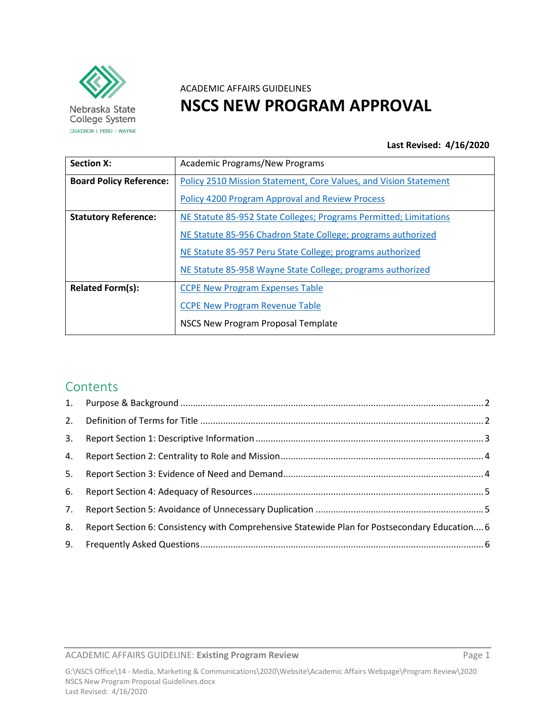

Nebraska State College System CHADRON | PERU | WAYNE

# ACADEMIC AFFAIRS GUIDELINES **NSCS NEW PROGRAM APPROVAL**

#### **Last Revised: 4/16/2020**

| <b>Section X:</b>              | <b>Academic Programs/New Programs</b>                             |
|--------------------------------|-------------------------------------------------------------------|
| <b>Board Policy Reference:</b> | Policy 2510 Mission Statement, Core Values, and Vision Statement  |
|                                | <b>Policy 4200 Program Approval and Review Process</b>            |
| <b>Statutory Reference:</b>    | NE Statute 85-952 State Colleges; Programs Permitted; Limitations |
|                                | NE Statute 85-956 Chadron State College; programs authorized      |
|                                | NE Statute 85-957 Peru State College; programs authorized         |
|                                | NE Statute 85-958 Wayne State College; programs authorized        |
| <b>Related Form(s):</b>        | <b>CCPE New Program Expenses Table</b>                            |
|                                | <b>CCPE New Program Revenue Table</b>                             |
|                                | NSCS New Program Proposal Template                                |

# Contents

| 3. |                                                                                               |  |
|----|-----------------------------------------------------------------------------------------------|--|
|    |                                                                                               |  |
| 5. |                                                                                               |  |
|    |                                                                                               |  |
|    |                                                                                               |  |
| 8. | Report Section 6: Consistency with Comprehensive Statewide Plan for Postsecondary Education 6 |  |
|    |                                                                                               |  |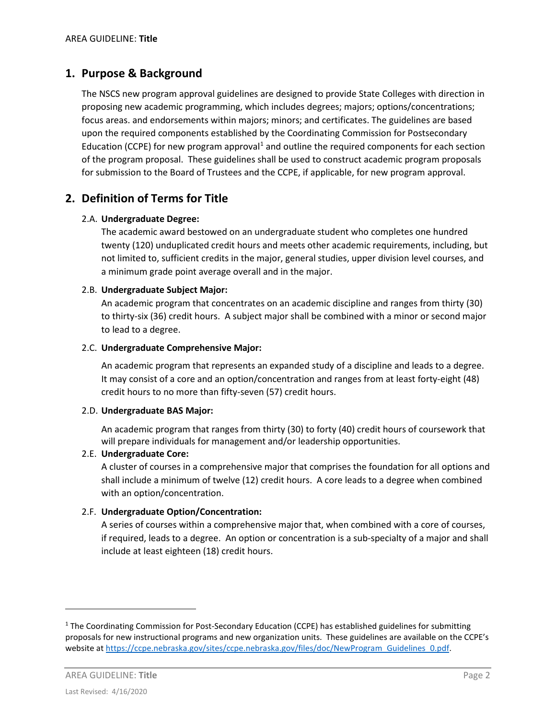# <span id="page-1-0"></span>**1. Purpose & Background**

The NSCS new program approval guidelines are designed to provide State Colleges with direction in proposing new academic programming, which includes degrees; majors; options/concentrations; focus areas. and endorsements within majors; minors; and certificates. The guidelines are based upon the required components established by the Coordinating Commission for Postsecondary Education (CCPE) for new program approval<sup>[1](#page-1-2)</sup> and outline the required components for each section of the program proposal. These guidelines shall be used to construct academic program proposals for submission to the Board of Trustees and the CCPE, if applicable, for new program approval.

# <span id="page-1-1"></span>**2. Definition of Terms for Title**

#### 2.A. **Undergraduate Degree:**

The academic award bestowed on an undergraduate student who completes one hundred twenty (120) unduplicated credit hours and meets other academic requirements, including, but not limited to, sufficient credits in the major, general studies, upper division level courses, and a minimum grade point average overall and in the major.

#### 2.B. **Undergraduate Subject Major:**

An academic program that concentrates on an academic discipline and ranges from thirty (30) to thirty-six (36) credit hours. A subject major shall be combined with a minor or second major to lead to a degree.

#### 2.C. **Undergraduate Comprehensive Major:**

An academic program that represents an expanded study of a discipline and leads to a degree. It may consist of a core and an option/concentration and ranges from at least forty-eight (48) credit hours to no more than fifty-seven (57) credit hours.

#### 2.D. **Undergraduate BAS Major:**

An academic program that ranges from thirty (30) to forty (40) credit hours of coursework that will prepare individuals for management and/or leadership opportunities.

#### 2.E. **Undergraduate Core:**

A cluster of courses in a comprehensive major that comprises the foundation for all options and shall include a minimum of twelve (12) credit hours. A core leads to a degree when combined with an option/concentration.

#### 2.F. **Undergraduate Option/Concentration:**

A series of courses within a comprehensive major that, when combined with a core of courses, if required, leads to a degree. An option or concentration is a sub-specialty of a major and shall include at least eighteen (18) credit hours.

l

<span id="page-1-2"></span><sup>&</sup>lt;sup>1</sup> The Coordinating Commission for Post-Secondary Education (CCPE) has established guidelines for submitting proposals for new instructional programs and new organization units. These guidelines are available on the CCPE's website a[t https://ccpe.nebraska.gov/sites/ccpe.nebraska.gov/files/doc/NewProgram\\_Guidelines\\_0.pdf.](https://ccpe.nebraska.gov/sites/ccpe.nebraska.gov/files/doc/NewProgram_Guidelines_0.pdf)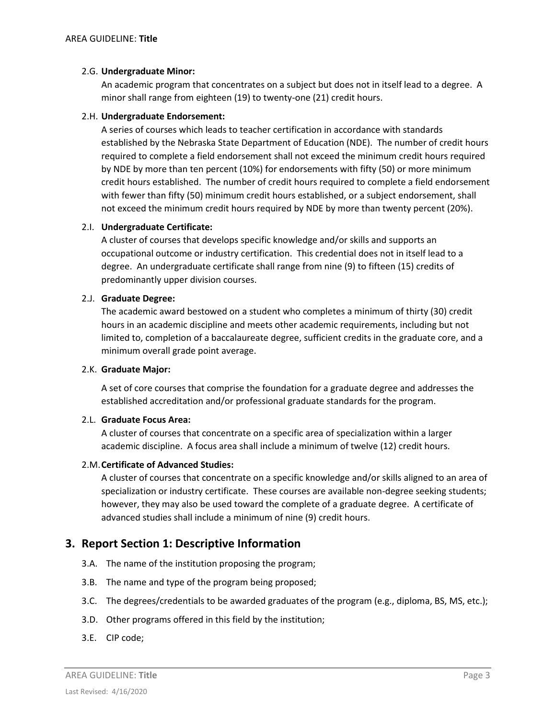#### 2.G. **Undergraduate Minor:**

An academic program that concentrates on a subject but does not in itself lead to a degree. A minor shall range from eighteen (19) to twenty-one (21) credit hours.

#### 2.H. **Undergraduate Endorsement:**

A series of courses which leads to teacher certification in accordance with standards established by the Nebraska State Department of Education (NDE). The number of credit hours required to complete a field endorsement shall not exceed the minimum credit hours required by NDE by more than ten percent (10%) for endorsements with fifty (50) or more minimum credit hours established. The number of credit hours required to complete a field endorsement with fewer than fifty (50) minimum credit hours established, or a subject endorsement, shall not exceed the minimum credit hours required by NDE by more than twenty percent (20%).

#### 2.I. **Undergraduate Certificate:**

A cluster of courses that develops specific knowledge and/or skills and supports an occupational outcome or industry certification. This credential does not in itself lead to a degree. An undergraduate certificate shall range from nine (9) to fifteen (15) credits of predominantly upper division courses.

#### 2.J. **Graduate Degree:**

The academic award bestowed on a student who completes a minimum of thirty (30) credit hours in an academic discipline and meets other academic requirements, including but not limited to, completion of a baccalaureate degree, sufficient credits in the graduate core, and a minimum overall grade point average.

#### 2.K. **Graduate Major:**

A set of core courses that comprise the foundation for a graduate degree and addresses the established accreditation and/or professional graduate standards for the program.

#### 2.L. **Graduate Focus Area:**

A cluster of courses that concentrate on a specific area of specialization within a larger academic discipline. A focus area shall include a minimum of twelve (12) credit hours.

#### 2.M.**Certificate of Advanced Studies:**

A cluster of courses that concentrate on a specific knowledge and/or skills aligned to an area of specialization or industry certificate. These courses are available non-degree seeking students; however, they may also be used toward the complete of a graduate degree. A certificate of advanced studies shall include a minimum of nine (9) credit hours.

# <span id="page-2-0"></span>**3. Report Section 1: Descriptive Information**

- 3.A. The name of the institution proposing the program;
- 3.B. The name and type of the program being proposed;
- 3.C. The degrees/credentials to be awarded graduates of the program (e.g., diploma, BS, MS, etc.);
- 3.D. Other programs offered in this field by the institution;
- 3.E. CIP code;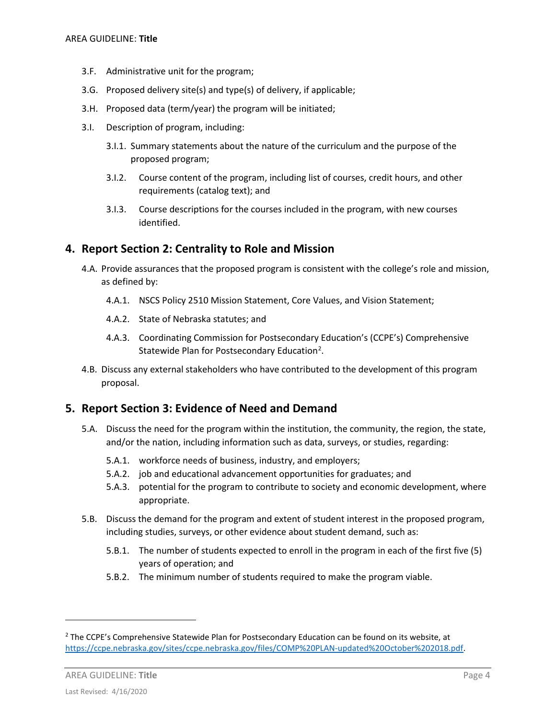- 3.F. Administrative unit for the program;
- 3.G. Proposed delivery site(s) and type(s) of delivery, if applicable;
- 3.H. Proposed data (term/year) the program will be initiated;
- 3.I. Description of program, including:
	- 3.I.1. Summary statements about the nature of the curriculum and the purpose of the proposed program;
	- 3.I.2. Course content of the program, including list of courses, credit hours, and other requirements (catalog text); and
	- 3.I.3. Course descriptions for the courses included in the program, with new courses identified.

## <span id="page-3-0"></span>**4. Report Section 2: Centrality to Role and Mission**

- 4.A. Provide assurances that the proposed program is consistent with the college's role and mission, as defined by:
	- 4.A.1. NSCS Policy 2510 Mission Statement, Core Values, and Vision Statement;
	- 4.A.2. State of Nebraska statutes; and
	- 4.A.3. Coordinating Commission for Postsecondary Education's (CCPE's) Comprehensive Statewide Plan for Postsecondary Education<sup>[2](#page-3-2)</sup>.
- 4.B. Discuss any external stakeholders who have contributed to the development of this program proposal.

# <span id="page-3-1"></span>**5. Report Section 3: Evidence of Need and Demand**

- 5.A. Discuss the need for the program within the institution, the community, the region, the state, and/or the nation, including information such as data, surveys, or studies, regarding:
	- 5.A.1. workforce needs of business, industry, and employers;
	- 5.A.2. job and educational advancement opportunities for graduates; and
	- 5.A.3. potential for the program to contribute to society and economic development, where appropriate.
- 5.B. Discuss the demand for the program and extent of student interest in the proposed program, including studies, surveys, or other evidence about student demand, such as:
	- 5.B.1. The number of students expected to enroll in the program in each of the first five (5) years of operation; and
	- 5.B.2. The minimum number of students required to make the program viable.

AREA GUIDELINE: **Title** Page 4

 $\overline{\phantom{a}}$ 

<span id="page-3-2"></span><sup>&</sup>lt;sup>2</sup> The CCPE's Comprehensive Statewide Plan for Postsecondary Education can be found on its website, at [https://ccpe.nebraska.gov/sites/ccpe.nebraska.gov/files/COMP%20PLAN-updated%20October%202018.pdf.](https://ccpe.nebraska.gov/sites/ccpe.nebraska.gov/files/COMP%20PLAN-updated%20October%202018.pdf)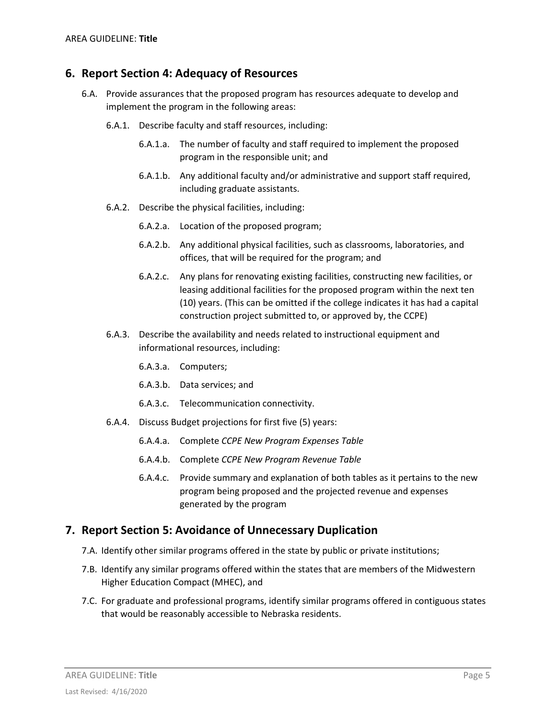## <span id="page-4-0"></span>**6. Report Section 4: Adequacy of Resources**

- 6.A. Provide assurances that the proposed program has resources adequate to develop and implement the program in the following areas:
	- 6.A.1. Describe faculty and staff resources, including:
		- 6.A.1.a. The number of faculty and staff required to implement the proposed program in the responsible unit; and
		- 6.A.1.b. Any additional faculty and/or administrative and support staff required, including graduate assistants.
	- 6.A.2. Describe the physical facilities, including:
		- 6.A.2.a. Location of the proposed program;
		- 6.A.2.b. Any additional physical facilities, such as classrooms, laboratories, and offices, that will be required for the program; and
		- 6.A.2.c. Any plans for renovating existing facilities, constructing new facilities, or leasing additional facilities for the proposed program within the next ten (10) years. (This can be omitted if the college indicates it has had a capital construction project submitted to, or approved by, the CCPE)
	- 6.A.3. Describe the availability and needs related to instructional equipment and informational resources, including:
		- 6.A.3.a. Computers;
		- 6.A.3.b. Data services; and
		- 6.A.3.c. Telecommunication connectivity.
	- 6.A.4. Discuss Budget projections for first five (5) years:
		- 6.A.4.a. Complete *CCPE New Program Expenses Table*
		- 6.A.4.b. Complete *CCPE New Program Revenue Table*
		- 6.A.4.c. Provide summary and explanation of both tables as it pertains to the new program being proposed and the projected revenue and expenses generated by the program

### <span id="page-4-1"></span>**7. Report Section 5: Avoidance of Unnecessary Duplication**

- 7.A. Identify other similar programs offered in the state by public or private institutions;
- 7.B. Identify any similar programs offered within the states that are members of the Midwestern Higher Education Compact (MHEC), and
- 7.C. For graduate and professional programs, identify similar programs offered in contiguous states that would be reasonably accessible to Nebraska residents.